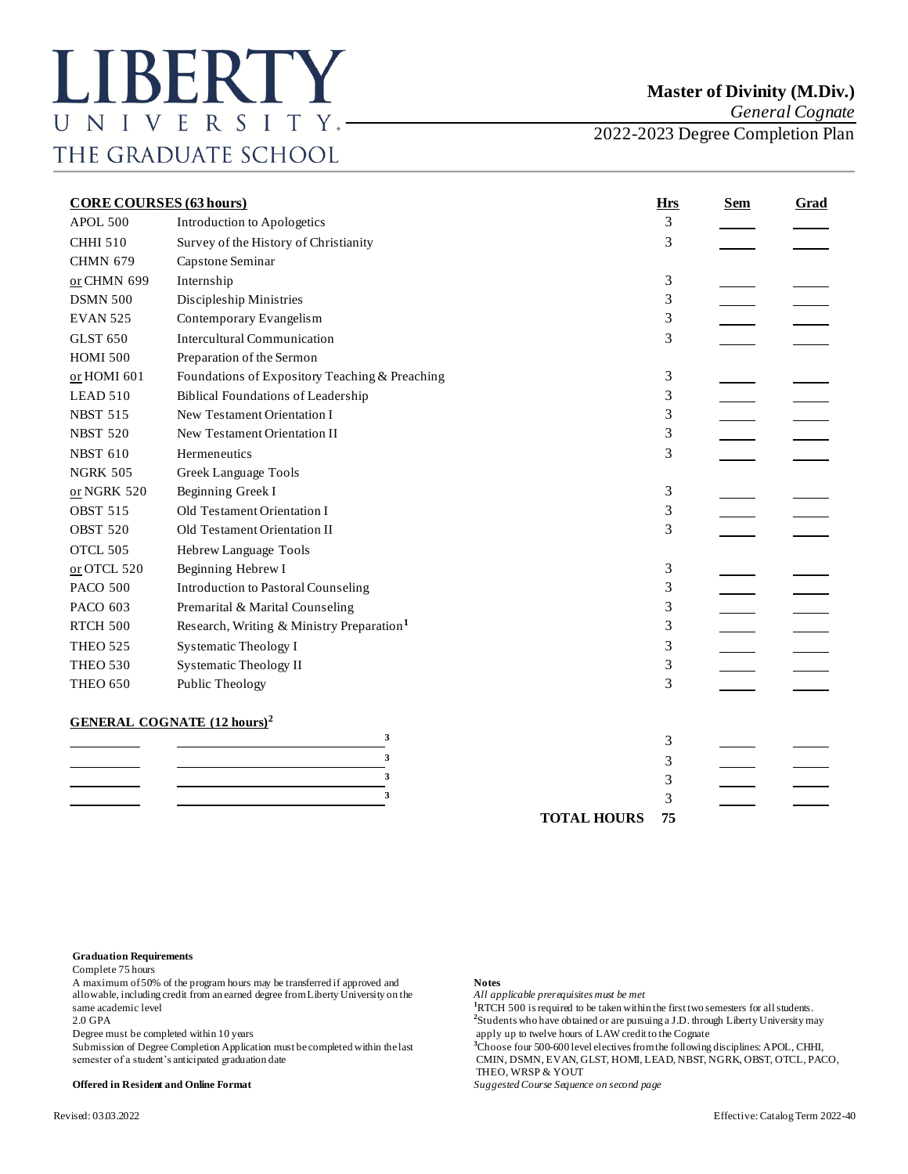*General Cognate*

2022-2023 Degree Completion Plan

| <b>CORE COURSES (63 hours)</b> |                                                       | <b>Hrs</b>         | <b>Sem</b> | <b>Grad</b> |  |
|--------------------------------|-------------------------------------------------------|--------------------|------------|-------------|--|
| APOL 500                       | Introduction to Apologetics                           |                    | 3          |             |  |
| <b>CHHI 510</b>                | Survey of the History of Christianity                 |                    | 3          |             |  |
| <b>CHMN 679</b>                | Capstone Seminar                                      |                    |            |             |  |
| or CHMN 699                    | Internship                                            |                    | 3          |             |  |
| <b>DSMN 500</b>                | Discipleship Ministries                               |                    | 3          |             |  |
| <b>EVAN 525</b>                | Contemporary Evangelism                               |                    | 3          |             |  |
| <b>GLST 650</b>                | <b>Intercultural Communication</b>                    |                    | 3          |             |  |
| <b>HOMI 500</b>                | Preparation of the Sermon                             |                    |            |             |  |
| or HOMI 601                    | Foundations of Expository Teaching & Preaching        |                    | 3          |             |  |
| LEAD 510                       | <b>Biblical Foundations of Leadership</b>             |                    | 3          |             |  |
| <b>NBST 515</b>                | New Testament Orientation I                           |                    | 3          |             |  |
| <b>NBST 520</b>                | New Testament Orientation II                          |                    | 3          |             |  |
| <b>NBST 610</b>                | Hermeneutics                                          |                    | 3          |             |  |
| <b>NGRK 505</b>                | Greek Language Tools                                  |                    |            |             |  |
| or NGRK 520                    | Beginning Greek I                                     |                    | 3          |             |  |
| <b>OBST 515</b>                | Old Testament Orientation I                           |                    | 3          |             |  |
| <b>OBST 520</b>                | Old Testament Orientation II                          |                    | 3          |             |  |
| OTCL 505                       | Hebrew Language Tools                                 |                    |            |             |  |
| $or$ OTCL 520                  | Beginning Hebrew I                                    |                    | 3          |             |  |
| <b>PACO 500</b>                | <b>Introduction to Pastoral Counseling</b>            |                    | 3          |             |  |
| PACO 603                       | Premarital & Marital Counseling                       |                    | 3          |             |  |
| <b>RTCH 500</b>                | Research, Writing & Ministry Preparation <sup>1</sup> |                    | 3          |             |  |
| <b>THEO 525</b>                | <b>Systematic Theology I</b>                          |                    | 3          |             |  |
| <b>THEO 530</b>                | <b>Systematic Theology II</b>                         |                    | 3          |             |  |
| <b>THEO 650</b>                | Public Theology                                       |                    | 3          |             |  |
|                                | <b>GENERAL COGNATE (12 hours)<sup>2</sup></b>         |                    |            |             |  |
|                                | 3                                                     |                    | 3          |             |  |
|                                | 3                                                     |                    | 3          |             |  |
|                                | 3                                                     |                    | 3          |             |  |
|                                | 3                                                     |                    | 3          |             |  |
|                                |                                                       | <b>TOTAL HOURS</b> | 75         |             |  |

## **Graduation Requirements**

Complete 75 hours

A maximum of 50% of the program hours may be transferred if approved and **Notes**<br>allowable, including credit from an earned degree from Liberty University on the *All applicable prerequisites must be met* allowable, including credit from an earned degree from Liberty University on the same academic level **1**RTCH 500 is required to be taken within the first two semesters for all students. 2.0 GPA **<sup>2</sup>**

Degree must be completed within 10 years apply up to twelve hours of LAW credit to the Cognate<br>Submission of Degree Completion Application must be completed within the last <sup>3</sup>Choose four 500-600 level electives from the f

## **Offered in Resident and Online Format** *Suggested Course Sequence on second page*

<sup>2</sup>Students who have obtained or are pursuing a J.D. through Liberty University may

<sup>3</sup>Choose four 500-600 level electives from the following disciplines: APOL, CHHI,

semester of a student's anticipated graduation date CMIN, DSMN, EVAN, GLST, HOMI, LEAD, NBST, NGRK, OBST, OTCL, PACO, THEO, WRSP & YOUT